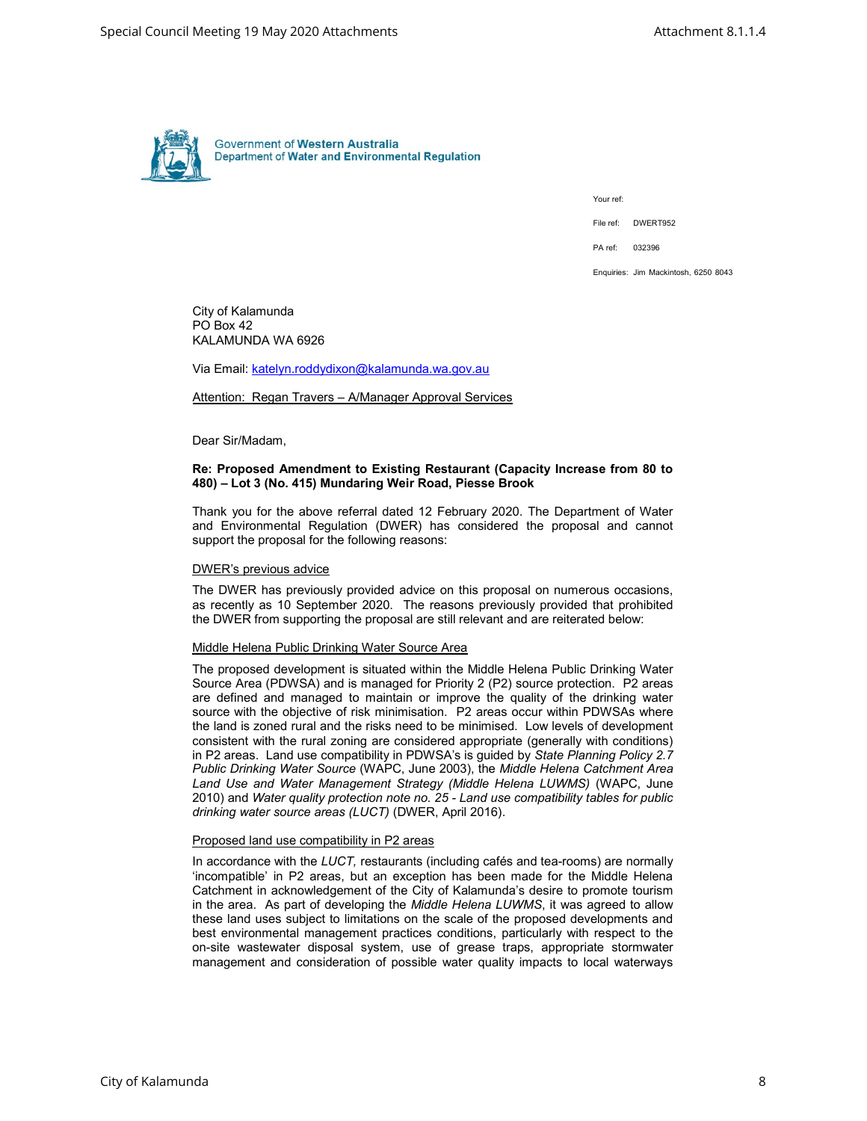

Your ref:

File ref: DWERT952

PA ref: 032396

Enquiries: Jim Mackintosh, 6250 8043

City of Kalamunda PO Box 42 KALAMUNDA WA 6926

Via Email: katelyn.roddydixon@kalamunda.wa.gov.au

Attention: Regan Travers – A/Manager Approval Services

Dear Sir/Madam,

# Re: Proposed Amendment to Existing Restaurant (Capacity Increase from 80 to 480) – Lot 3 (No. 415) Mundaring Weir Road, Piesse Brook

Thank you for the above referral dated 12 February 2020. The Department of Water and Environmental Regulation (DWER) has considered the proposal and cannot support the proposal for the following reasons:

#### DWER's previous advice

The DWER has previously provided advice on this proposal on numerous occasions, as recently as 10 September 2020. The reasons previously provided that prohibited the DWER from supporting the proposal are still relevant and are reiterated below:

#### Middle Helena Public Drinking Water Source Area

The proposed development is situated within the Middle Helena Public Drinking Water Source Area (PDWSA) and is managed for Priority 2 (P2) source protection. P2 areas are defined and managed to maintain or improve the quality of the drinking water source with the objective of risk minimisation. P2 areas occur within PDWSAs where the land is zoned rural and the risks need to be minimised. Low levels of development consistent with the rural zoning are considered appropriate (generally with conditions) in P2 areas. Land use compatibility in PDWSA's is guided by State Planning Policy 2.7 Public Drinking Water Source (WAPC, June 2003), the Middle Helena Catchment Area Land Use and Water Management Strategy (Middle Helena LUWMS) (WAPC, June 2010) and Water quality protection note no. 25 - Land use compatibility tables for public drinking water source areas (LUCT) (DWER, April 2016).

#### Proposed land use compatibility in P2 areas

In accordance with the LUCT, restaurants (including cafés and tea-rooms) are normally 'incompatible' in P2 areas, but an exception has been made for the Middle Helena Catchment in acknowledgement of the City of Kalamunda's desire to promote tourism in the area. As part of developing the Middle Helena LUWMS, it was agreed to allow these land uses subject to limitations on the scale of the proposed developments and best environmental management practices conditions, particularly with respect to the on-site wastewater disposal system, use of grease traps, appropriate stormwater management and consideration of possible water quality impacts to local waterways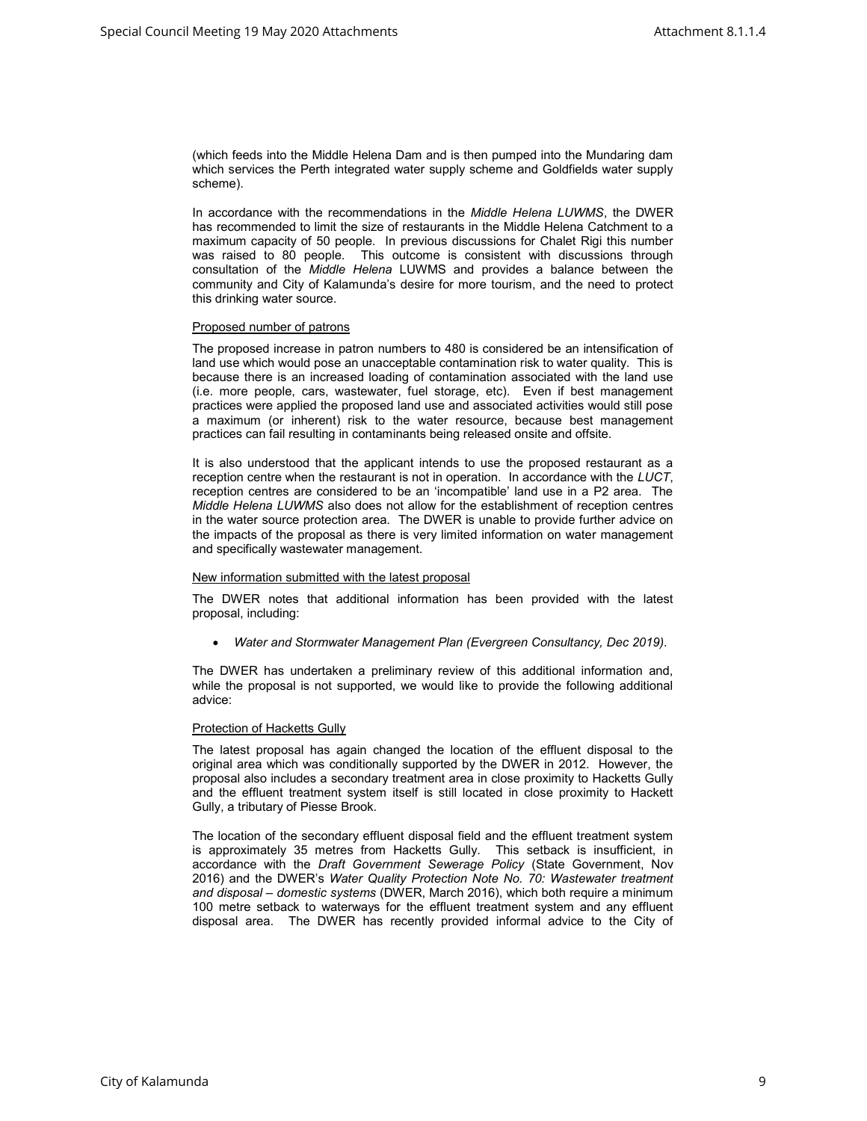(which feeds into the Middle Helena Dam and is then pumped into the Mundaring dam which services the Perth integrated water supply scheme and Goldfields water supply scheme).

In accordance with the recommendations in the Middle Helena LUWMS, the DWER has recommended to limit the size of restaurants in the Middle Helena Catchment to a maximum capacity of 50 people. In previous discussions for Chalet Rigi this number was raised to 80 people. This outcome is consistent with discussions through consultation of the Middle Helena LUWMS and provides a balance between the community and City of Kalamunda's desire for more tourism, and the need to protect this drinking water source.

## Proposed number of patrons

The proposed increase in patron numbers to 480 is considered be an intensification of land use which would pose an unacceptable contamination risk to water quality. This is because there is an increased loading of contamination associated with the land use (i.e. more people, cars, wastewater, fuel storage, etc). Even if best management practices were applied the proposed land use and associated activities would still pose a maximum (or inherent) risk to the water resource, because best management practices can fail resulting in contaminants being released onsite and offsite.

It is also understood that the applicant intends to use the proposed restaurant as a reception centre when the restaurant is not in operation. In accordance with the LUCT, reception centres are considered to be an 'incompatible' land use in a P2 area. The Middle Helena LUWMS also does not allow for the establishment of reception centres in the water source protection area. The DWER is unable to provide further advice on the impacts of the proposal as there is very limited information on water management and specifically wastewater management.

## New information submitted with the latest proposal

The DWER notes that additional information has been provided with the latest proposal, including:

Water and Stormwater Management Plan (Evergreen Consultancy, Dec 2019).

The DWER has undertaken a preliminary review of this additional information and, while the proposal is not supported, we would like to provide the following additional advice:

## Protection of Hacketts Gully

The latest proposal has again changed the location of the effluent disposal to the original area which was conditionally supported by the DWER in 2012. However, the proposal also includes a secondary treatment area in close proximity to Hacketts Gully and the effluent treatment system itself is still located in close proximity to Hackett Gully, a tributary of Piesse Brook.

The location of the secondary effluent disposal field and the effluent treatment system is approximately 35 metres from Hacketts Gully. This setback is insufficient, in accordance with the Draft Government Sewerage Policy (State Government, Nov 2016) and the DWER's Water Quality Protection Note No. 70: Wastewater treatment and disposal – domestic systems (DWER, March 2016), which both require a minimum 100 metre setback to waterways for the effluent treatment system and any effluent disposal area. The DWER has recently provided informal advice to the City of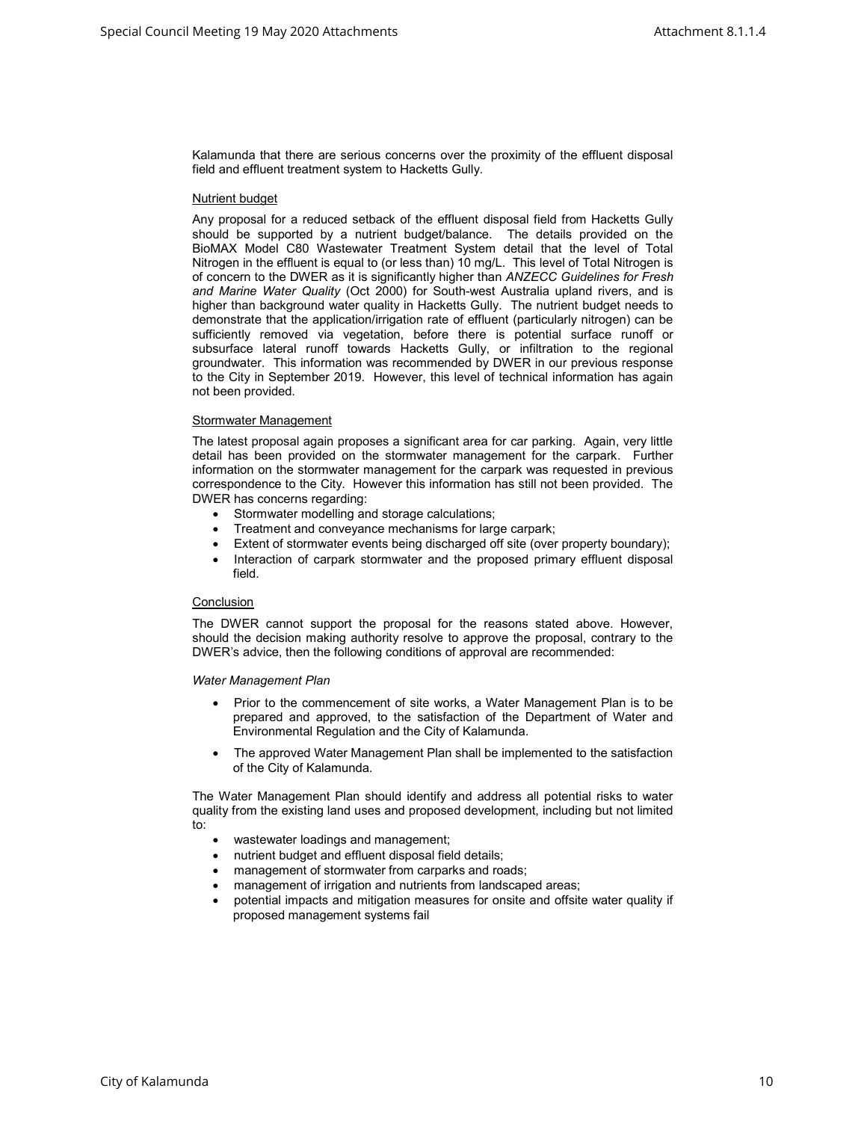Kalamunda that there are serious concerns over the proximity of the effluent disposal field and effluent treatment system to Hacketts Gully.

### Nutrient budget

Any proposal for a reduced setback of the effluent disposal field from Hacketts Gully should be supported by a nutrient budget/balance. The details provided on the BioMAX Model C80 Wastewater Treatment System detail that the level of Total Nitrogen in the effluent is equal to (or less than) 10 mg/L. This level of Total Nitrogen is of concern to the DWER as it is significantly higher than ANZECC Guidelines for Fresh and Marine Water Quality (Oct 2000) for South-west Australia upland rivers, and is higher than background water quality in Hacketts Gully. The nutrient budget needs to demonstrate that the application/irrigation rate of effluent (particularly nitrogen) can be sufficiently removed via vegetation, before there is potential surface runoff or subsurface lateral runoff towards Hacketts Gully, or infiltration to the regional groundwater. This information was recommended by DWER in our previous response to the City in September 2019. However, this level of technical information has again not been provided.

### Stormwater Management

The latest proposal again proposes a significant area for car parking. Again, very little detail has been provided on the stormwater management for the carpark. Further information on the stormwater management for the carpark was requested in previous correspondence to the City. However this information has still not been provided. The DWER has concerns regarding:

- Stormwater modelling and storage calculations;
- Treatment and conveyance mechanisms for large carpark;
- Extent of stormwater events being discharged off site (over property boundary);
- Interaction of carpark stormwater and the proposed primary effluent disposal field.

## **Conclusion**

The DWER cannot support the proposal for the reasons stated above. However, should the decision making authority resolve to approve the proposal, contrary to the DWER's advice, then the following conditions of approval are recommended:

#### Water Management Plan

- Prior to the commencement of site works, a Water Management Plan is to be prepared and approved, to the satisfaction of the Department of Water and Environmental Regulation and the City of Kalamunda.
- The approved Water Management Plan shall be implemented to the satisfaction of the City of Kalamunda.

The Water Management Plan should identify and address all potential risks to water quality from the existing land uses and proposed development, including but not limited to:

- wastewater loadings and management;
- nutrient budget and effluent disposal field details;
- management of stormwater from carparks and roads;
- management of irrigation and nutrients from landscaped areas;
- potential impacts and mitigation measures for onsite and offsite water quality if proposed management systems fail